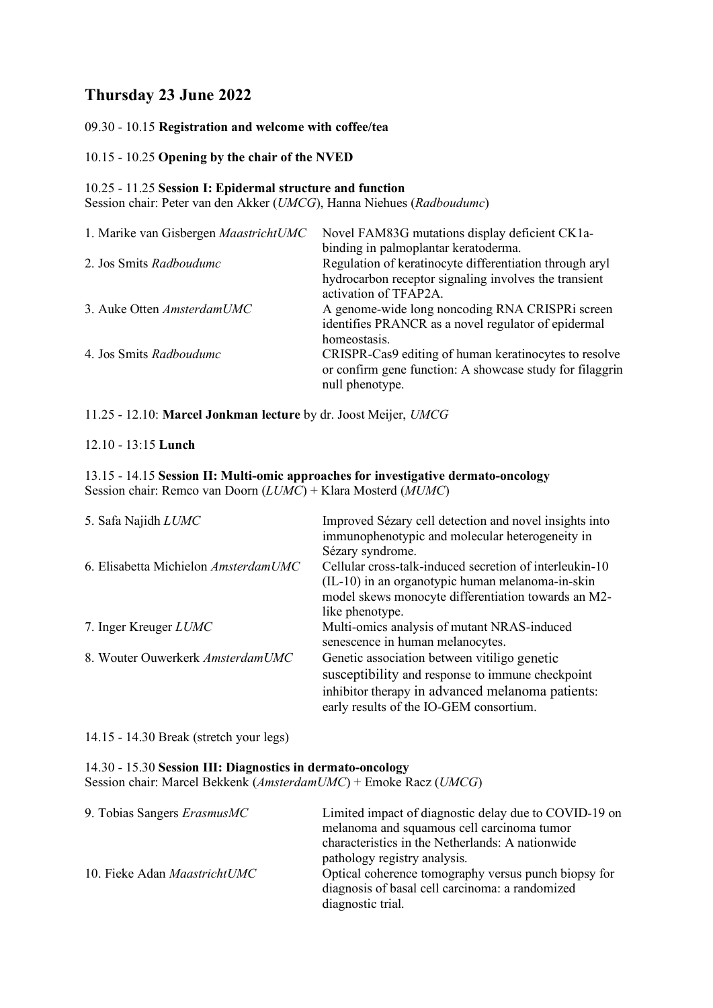# **Thursday 23 June 2022**

09.30 - 10.15 **Registration and welcome with coffee/tea**

## 10.15 - 10.25 **Opening by the chair of the NVED**

## 10.25 - 11.25 **Session I: Epidermal structure and function**

Session chair: Peter van den Akker (*UMCG*), Hanna Niehues (*Radboudumc*)

| 1. Marike van Gisbergen MaastrichtUMC | Novel FAM83G mutations display deficient CK1a-<br>binding in palmoplantar keratoderma.                                            |
|---------------------------------------|-----------------------------------------------------------------------------------------------------------------------------------|
| 2. Jos Smits Radboudumc               | Regulation of keratinocyte differentiation through aryl<br>hydrocarbon receptor signaling involves the transient                  |
| 3. Auke Otten AmsterdamUMC            | activation of TFAP2A.<br>A genome-wide long noncoding RNA CRISPRi screen<br>identifies PRANCR as a novel regulator of epidermal   |
| 4. Jos Smits Radboudumc               | homeostasis.<br>CRISPR-Cas9 editing of human keratinocytes to resolve<br>or confirm gene function: A showcase study for filaggrin |
|                                       | null phenotype.                                                                                                                   |

11.25 - 12.10: **Marcel Jonkman lecture** by dr. Joost Meijer, *UMCG*

# 12.10 - 13:15 **Lunch**

#### 13.15 - 14.15 **Session II: Multi-omic approaches for investigative dermato-oncology** Session chair: Remco van Doorn (*LUMC*) + Klara Mosterd (*MUMC*)

| 5. Safa Najidh LUMC                  | Improved Sézary cell detection and novel insights into<br>immunophenotypic and molecular heterogeneity in<br>Sézary syndrome.                                                                   |
|--------------------------------------|-------------------------------------------------------------------------------------------------------------------------------------------------------------------------------------------------|
| 6. Elisabetta Michielon AmsterdamUMC | Cellular cross-talk-induced secretion of interleukin-10<br>$(IL-10)$ in an organotypic human melanoma-in-skin<br>model skews monocyte differentiation towards an M2-<br>like phenotype.         |
| 7. Inger Kreuger <i>LUMC</i>         | Multi-omics analysis of mutant NRAS-induced<br>senescence in human melanocytes.                                                                                                                 |
| 8. Wouter Ouwerkerk AmsterdamUMC     | Genetic association between vitiligo genetic<br>susceptibility and response to immune checkpoint<br>inhibitor therapy in advanced melanoma patients:<br>early results of the IO-GEM consortium. |

14.15 - 14.30 Break (stretch your legs)

### 14.30 - 15.30 **Session III: Diagnostics in dermato-oncology**

Session chair: Marcel Bekkenk (*AmsterdamUMC*) + Emoke Racz (*UMCG*)

| 9. Tobias Sangers ErasmusMC  | Limited impact of diagnostic delay due to COVID-19 on<br>melanoma and squamous cell carcinoma tumor<br>characteristics in the Netherlands: A nationwide<br>pathology registry analysis. |
|------------------------------|-----------------------------------------------------------------------------------------------------------------------------------------------------------------------------------------|
| 10. Fieke Adan MaastrichtUMC | Optical coherence tomography versus punch biopsy for<br>diagnosis of basal cell carcinoma: a randomized<br>diagnostic trial.                                                            |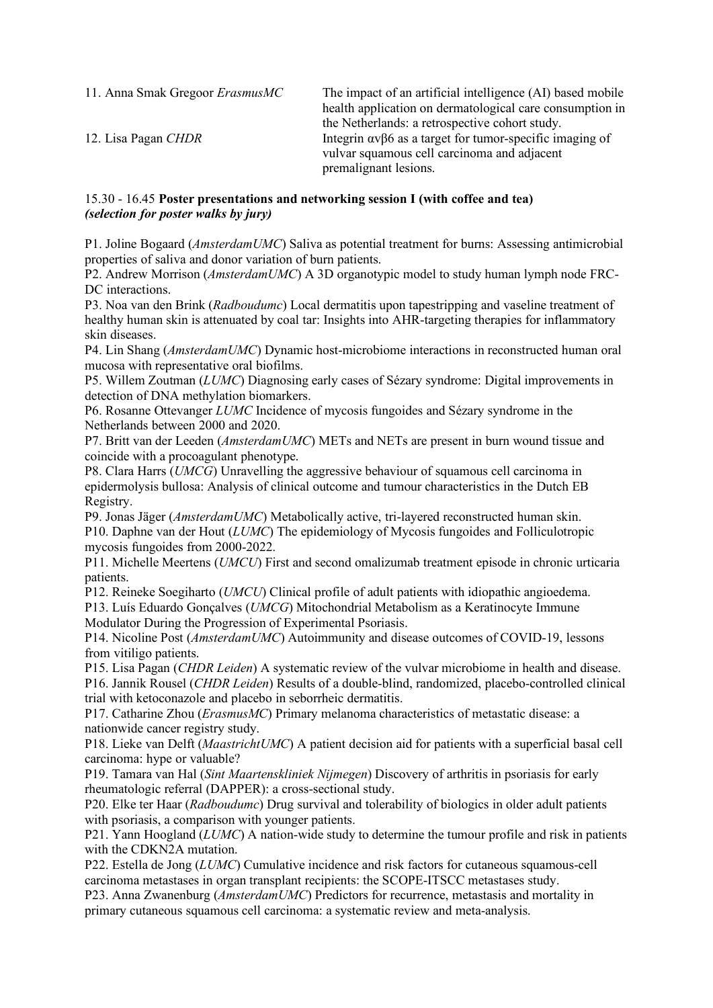11. Anna Smak Gregoor *ErasmusMC* The impact of an artificial intelligence (AI) based mobile health application on dermatological care consumption in the Netherlands: a retrospective cohort study. 12. Lisa Pagan *CHDR* Integrin ανβ6 as a target for tumor-specific imaging of vulvar squamous cell carcinoma and adjacent premalignant lesions.

# 15.30 - 16.45 **Poster presentations and networking session I (with coffee and tea)** *(selection for poster walks by jury)*

P1. Joline Bogaard (*AmsterdamUMC*) Saliva as potential treatment for burns: Assessing antimicrobial properties of saliva and donor variation of burn patients.

P2. Andrew Morrison (*AmsterdamUMC*) A 3D organotypic model to study human lymph node FRC-DC interactions.

P3. Noa van den Brink (*Radboudumc*) Local dermatitis upon tapestripping and vaseline treatment of healthy human skin is attenuated by coal tar: Insights into AHR-targeting therapies for inflammatory skin diseases.

P4. Lin Shang (*AmsterdamUMC*) Dynamic host-microbiome interactions in reconstructed human oral mucosa with representative oral biofilms.

P5. Willem Zoutman (*LUMC*) Diagnosing early cases of Sézary syndrome: Digital improvements in detection of DNA methylation biomarkers.

P6. Rosanne Ottevanger *LUMC* Incidence of mycosis fungoides and Sézary syndrome in the Netherlands between 2000 and 2020.

P7. Britt van der Leeden (*AmsterdamUMC*) METs and NETs are present in burn wound tissue and coincide with a procoagulant phenotype.

P8. Clara Harrs (*UMCG*) Unravelling the aggressive behaviour of squamous cell carcinoma in epidermolysis bullosa: Analysis of clinical outcome and tumour characteristics in the Dutch EB Registry.

P9. Jonas Jäger (*AmsterdamUMC*) Metabolically active, tri-layered reconstructed human skin. P10. Daphne van der Hout (*LUMC*) The epidemiology of Mycosis fungoides and Folliculotropic mycosis fungoides from 2000-2022.

P11. Michelle Meertens (*UMCU*) First and second omalizumab treatment episode in chronic urticaria patients.

P12. Reineke Soegiharto (*UMCU*) Clinical profile of adult patients with idiopathic angioedema.

P13. Luís Eduardo Gonçalves (*UMCG*) Mitochondrial Metabolism as a Keratinocyte Immune Modulator During the Progression of Experimental Psoriasis.

P14. Nicoline Post (*AmsterdamUMC*) Autoimmunity and disease outcomes of COVID-19, lessons from vitiligo patients.

P15. Lisa Pagan (*CHDR Leiden*) A systematic review of the vulvar microbiome in health and disease.

P16. Jannik Rousel (*CHDR Leiden*) Results of a double-blind, randomized, placebo-controlled clinical trial with ketoconazole and placebo in seborrheic dermatitis.

P17. Catharine Zhou (*ErasmusMC*) Primary melanoma characteristics of metastatic disease: a nationwide cancer registry study.

P18. Lieke van Delft (*MaastrichtUMC*) A patient decision aid for patients with a superficial basal cell carcinoma: hype or valuable?

P19. Tamara van Hal (*Sint Maartenskliniek Nijmegen*) Discovery of arthritis in psoriasis for early rheumatologic referral (DAPPER): a cross-sectional study.

P20. Elke ter Haar (*Radboudumc*) Drug survival and tolerability of biologics in older adult patients with psoriasis, a comparison with younger patients.

P21. Yann Hoogland (*LUMC*) A nation-wide study to determine the tumour profile and risk in patients with the CDKN2A mutation.

P22. Estella de Jong (*LUMC*) Cumulative incidence and risk factors for cutaneous squamous-cell carcinoma metastases in organ transplant recipients: the SCOPE-ITSCC metastases study.

P23. Anna Zwanenburg (*AmsterdamUMC*) Predictors for recurrence, metastasis and mortality in primary cutaneous squamous cell carcinoma: a systematic review and meta-analysis.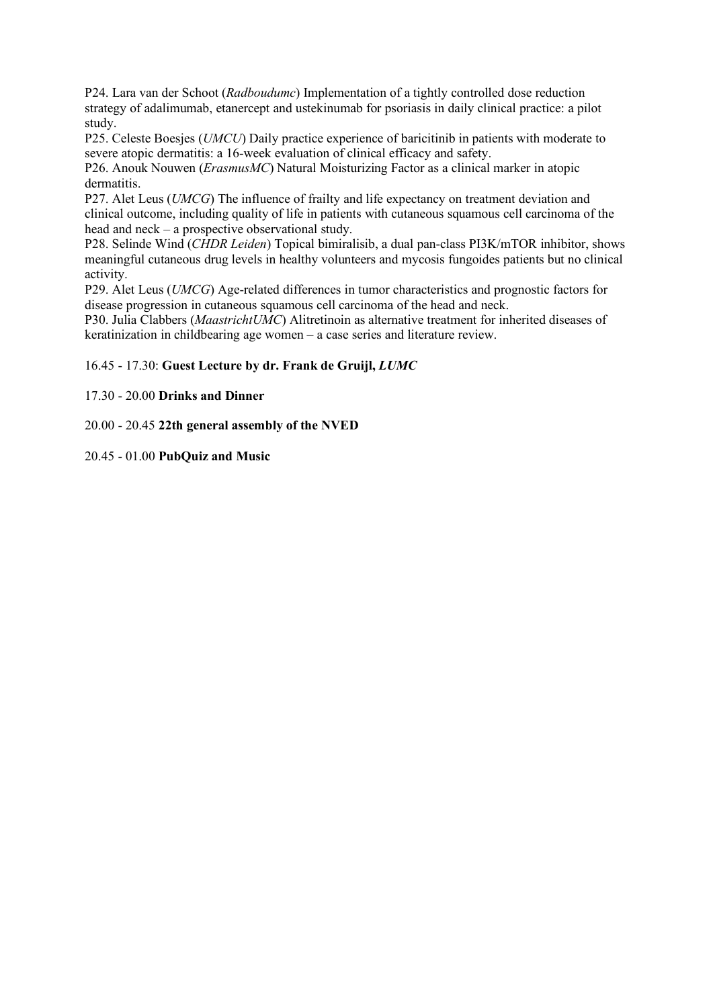P24. Lara van der Schoot (*Radboudumc*) Implementation of a tightly controlled dose reduction strategy of adalimumab, etanercept and ustekinumab for psoriasis in daily clinical practice: a pilot study.

P25. Celeste Boesjes (*UMCU*) Daily practice experience of baricitinib in patients with moderate to severe atopic dermatitis: a 16-week evaluation of clinical efficacy and safety.

P26. Anouk Nouwen (*ErasmusMC*) Natural Moisturizing Factor as a clinical marker in atopic dermatitis.

P27. Alet Leus (*UMCG*) The influence of frailty and life expectancy on treatment deviation and clinical outcome, including quality of life in patients with cutaneous squamous cell carcinoma of the head and neck – a prospective observational study.

P28. Selinde Wind (*CHDR Leiden*) Topical bimiralisib, a dual pan-class PI3K/mTOR inhibitor, shows meaningful cutaneous drug levels in healthy volunteers and mycosis fungoides patients but no clinical activity.

P29. Alet Leus (*UMCG*) Age-related differences in tumor characteristics and prognostic factors for disease progression in cutaneous squamous cell carcinoma of the head and neck.

P30. Julia Clabbers (*MaastrichtUMC*) Alitretinoin as alternative treatment for inherited diseases of keratinization in childbearing age women – a case series and literature review.

## 16.45 - 17.30: **Guest Lecture by dr. Frank de Gruijl,** *LUMC*

## 17.30 - 20.00 **Drinks and Dinner**

20.00 - 20.45 **22th general assembly of the NVED**

## 20.45 - 01.00 **PubQuiz and Music**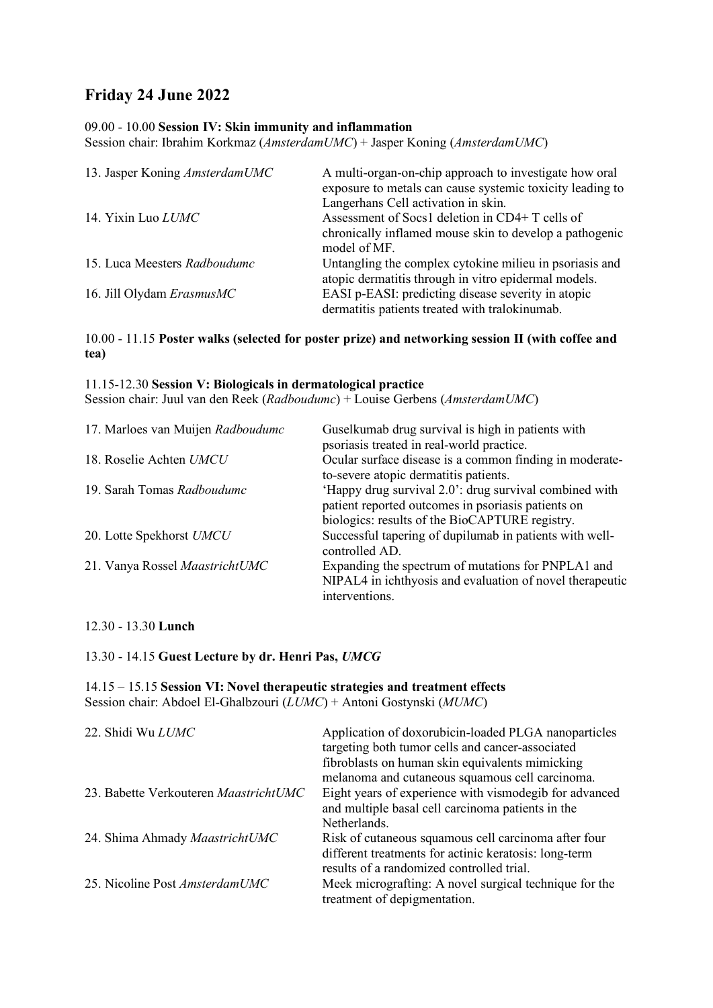# **Friday 24 June 2022**

## 09.00 - 10.00 **Session IV: Skin immunity and inflammation**

Session chair: Ibrahim Korkmaz (*AmsterdamUMC*) + Jasper Koning (*AmsterdamUMC*)

| 13. Jasper Koning AmsterdamUMC | A multi-organ-on-chip approach to investigate how oral<br>exposure to metals can cause systemic toxicity leading to<br>Langerhans Cell activation in skin. |
|--------------------------------|------------------------------------------------------------------------------------------------------------------------------------------------------------|
| 14. Yixin Luo LUMC             | Assessment of Socs1 deletion in CD4+ T cells of<br>chronically inflamed mouse skin to develop a pathogenic<br>model of MF.                                 |
| 15. Luca Meesters Radboudumc   | Untangling the complex cytokine milieu in psoriasis and<br>atopic dermatitis through in vitro epidermal models.                                            |
| 16. Jill Olydam ErasmusMC      | EASI p-EASI: predicting disease severity in atopic<br>dermatitis patients treated with tralokinumab.                                                       |

# 10.00 - 11.15 **Poster walks (selected for poster prize) and networking session II (with coffee and tea)**

### 11.15-12.30 **Session V: Biologicals in dermatological practice**

Session chair: Juul van den Reek (*Radboudumc*) + Louise Gerbens (*AmsterdamUMC*)

| 17. Marloes van Muijen Radboudumc | Guselkumab drug survival is high in patients with<br>psoriasis treated in real-world practice.                                                                 |
|-----------------------------------|----------------------------------------------------------------------------------------------------------------------------------------------------------------|
| 18. Roselie Achten UMCU           | Ocular surface disease is a common finding in moderate-<br>to-severe atopic dermatitis patients.                                                               |
| 19. Sarah Tomas Radboudumc        | 'Happy drug survival 2.0': drug survival combined with<br>patient reported outcomes in psoriasis patients on<br>biologics: results of the BioCAPTURE registry. |
| 20. Lotte Spekhorst UMCU          | Successful tapering of dupilumab in patients with well-<br>controlled AD.                                                                                      |
| 21. Vanya Rossel MaastrichtUMC    | Expanding the spectrum of mutations for PNPLA1 and<br>NIPAL4 in ichthyosis and evaluation of novel therapeutic<br>interventions.                               |

# 12.30 - 13.30 **Lunch**

13.30 - 14.15 **Guest Lecture by dr. Henri Pas,** *UMCG*

14.15 – 15.15 **Session VI: Novel therapeutic strategies and treatment effects** Session chair: Abdoel El-Ghalbzouri (*LUMC*) + Antoni Gostynski (*MUMC*)

| 22. Shidi Wu LUMC                     | Application of doxorubicin-loaded PLGA nanoparticles<br>targeting both tumor cells and cancer-associated<br>fibroblasts on human skin equivalents mimicking<br>melanoma and cutaneous squamous cell carcinoma. |
|---------------------------------------|----------------------------------------------------------------------------------------------------------------------------------------------------------------------------------------------------------------|
| 23. Babette Verkouteren MaastrichtUMC | Eight years of experience with vismodegib for advanced<br>and multiple basal cell carcinoma patients in the                                                                                                    |
| 24. Shima Ahmady MaastrichtUMC        | Netherlands.<br>Risk of cutaneous squamous cell carcinoma after four<br>different treatments for actinic keratosis: long-term                                                                                  |
| 25. Nicoline Post AmsterdamUMC        | results of a randomized controlled trial.<br>Meek micrografting: A novel surgical technique for the<br>treatment of depigmentation.                                                                            |